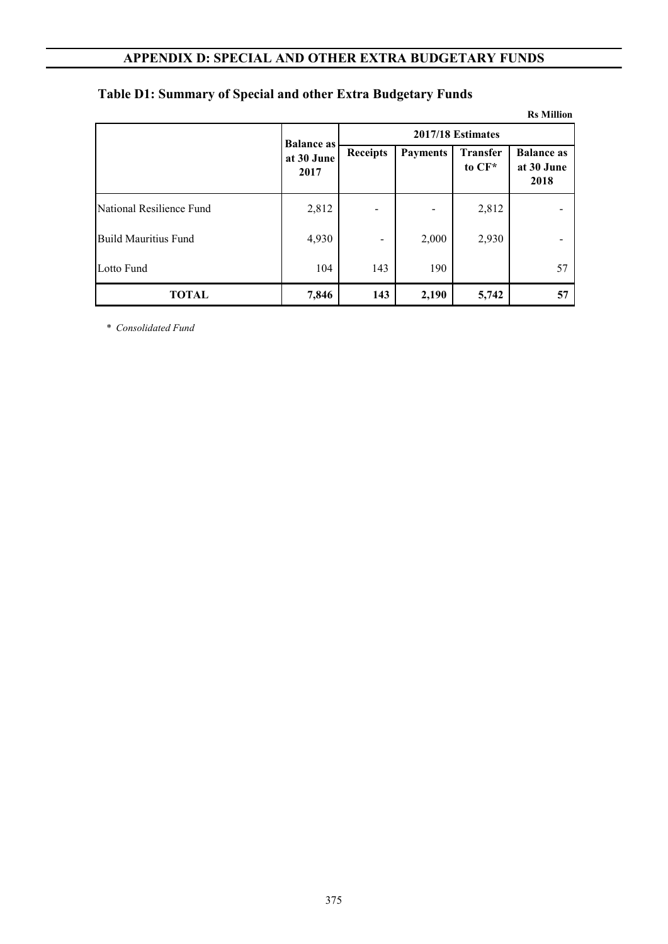**Rs Million**

|                          | <b>Balance as</b>  |                 |                 | 2017/18 Estimates         |                                         |  |  |  |
|--------------------------|--------------------|-----------------|-----------------|---------------------------|-----------------------------------------|--|--|--|
|                          | at 30 June<br>2017 | <b>Receipts</b> | <b>Payments</b> | <b>Transfer</b><br>to CF* | <b>Balance as</b><br>at 30 June<br>2018 |  |  |  |
| National Resilience Fund | 2,812              |                 |                 | 2,812                     |                                         |  |  |  |
| Build Mauritius Fund     | 4,930              |                 | 2,000           | 2,930                     |                                         |  |  |  |
| Lotto Fund               | 104                | 143             | 190             |                           | 57                                      |  |  |  |
| <b>TOTAL</b>             | 7,846              | 143             | 2,190           | 5,742                     | 57                                      |  |  |  |

#### **Table D1: Summary of Special and other Extra Budgetary Funds**

*\* Consolidated Fund*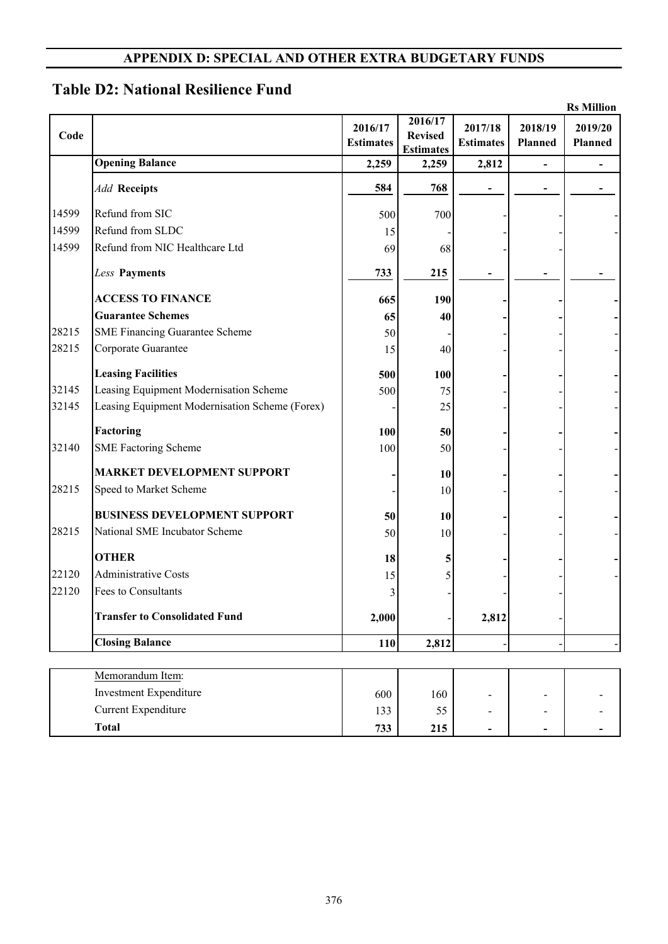# **Table D2: National Resilience Fund**

|       |                                                |                             |                                               |                             |                    | <b>Rs Million</b>         |
|-------|------------------------------------------------|-----------------------------|-----------------------------------------------|-----------------------------|--------------------|---------------------------|
| Code  |                                                | 2016/17<br><b>Estimates</b> | 2016/17<br><b>Revised</b><br><b>Estimates</b> | 2017/18<br><b>Estimates</b> | 2018/19<br>Planned | 2019/20<br><b>Planned</b> |
|       | <b>Opening Balance</b>                         | 2,259                       | 2,259                                         | 2,812                       |                    |                           |
|       | <b>Add Receipts</b>                            | 584                         | 768                                           |                             |                    |                           |
| 14599 | Refund from SIC                                | 500                         | 700                                           |                             |                    |                           |
| 14599 | Refund from SLDC                               | 15                          |                                               |                             |                    |                           |
| 14599 | Refund from NIC Healthcare Ltd                 | 69                          | 68                                            |                             |                    |                           |
|       | Less Payments                                  | 733                         | 215                                           |                             |                    |                           |
|       | <b>ACCESS TO FINANCE</b>                       | 665                         | 190                                           |                             |                    |                           |
|       | <b>Guarantee Schemes</b>                       | 65                          | 40                                            |                             |                    |                           |
| 28215 | <b>SME Financing Guarantee Scheme</b>          | 50                          |                                               |                             |                    |                           |
| 28215 | Corporate Guarantee                            | 15                          | 40                                            |                             |                    |                           |
|       | <b>Leasing Facilities</b>                      | 500                         | 100                                           |                             |                    |                           |
| 32145 | Leasing Equipment Modernisation Scheme         | 500                         | 75                                            |                             |                    |                           |
| 32145 | Leasing Equipment Modernisation Scheme (Forex) |                             | 25                                            |                             |                    |                           |
|       | Factoring                                      | 100                         | 50                                            |                             |                    |                           |
| 32140 | <b>SME Factoring Scheme</b>                    | 100                         | 50                                            |                             |                    |                           |
|       | <b>MARKET DEVELOPMENT SUPPORT</b>              |                             | 10                                            |                             |                    |                           |
| 28215 | Speed to Market Scheme                         |                             | 10                                            |                             |                    |                           |
|       | <b>BUSINESS DEVELOPMENT SUPPORT</b>            | 50                          | 10                                            |                             |                    |                           |
| 28215 | National SME Incubator Scheme                  | 50                          | 10                                            |                             |                    |                           |
|       | <b>OTHER</b>                                   | 18                          | 5                                             |                             |                    |                           |
| 22120 | <b>Administrative Costs</b>                    | 15                          | 5                                             |                             |                    |                           |
| 22120 | Fees to Consultants                            | 3                           |                                               |                             |                    |                           |
|       | <b>Transfer to Consolidated Fund</b>           | 2,000                       |                                               | 2,812                       |                    |                           |
|       | <b>Closing Balance</b>                         | 110                         | 2,812                                         |                             |                    |                           |
|       | $\mathbf{A}$<br>$\mathbf{1}$<br>$\mathbf{r}$   |                             |                                               |                             |                    |                           |

| Memorandum Item:       |     |     |                          |                          |                          |
|------------------------|-----|-----|--------------------------|--------------------------|--------------------------|
| Investment Expenditure | 600 | 160 | $\overline{\phantom{0}}$ | -                        | $\sim$                   |
| Current Expenditure    | 133 | ی ر | $\blacksquare$           | $\overline{\phantom{0}}$ | $\overline{\phantom{0}}$ |
| Total                  | 733 | 215 | $\overline{\phantom{0}}$ | $\overline{\phantom{0}}$ | $\overline{\phantom{0}}$ |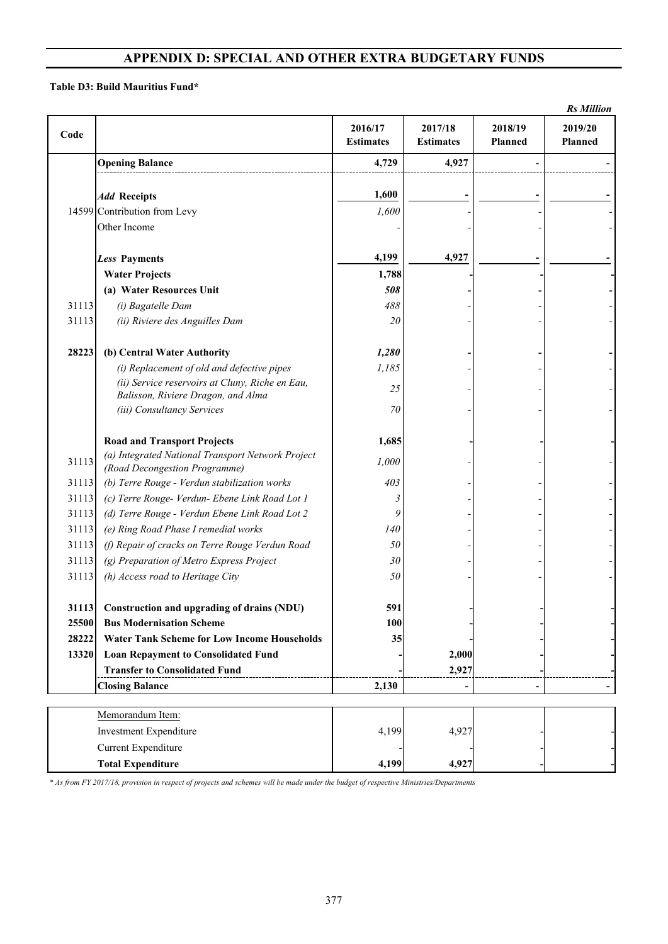#### **Table D3: Build Mauritius Fund\***

|       |                                                    |                             |                             |                    | <b>Rs</b> Million  |
|-------|----------------------------------------------------|-----------------------------|-----------------------------|--------------------|--------------------|
| Code  |                                                    | 2016/17<br><b>Estimates</b> | 2017/18<br><b>Estimates</b> | 2018/19<br>Planned | 2019/20<br>Planned |
|       | <b>Opening Balance</b>                             | 4,729                       | 4,927                       |                    |                    |
|       |                                                    |                             |                             |                    |                    |
|       | <b>Add Receipts</b>                                | 1,600                       |                             |                    |                    |
|       | 14599 Contribution from Levy                       | 1,600                       |                             |                    |                    |
|       | Other Income                                       |                             |                             |                    |                    |
|       | <b>Less Payments</b>                               | 4,199                       | 4,927                       |                    |                    |
|       | <b>Water Projects</b>                              | 1,788                       |                             |                    |                    |
|       | (a) Water Resources Unit                           | 508                         |                             |                    |                    |
| 31113 | (i) Bagatelle Dam                                  | 488                         |                             |                    |                    |
| 31113 | (ii) Riviere des Anguilles Dam                     | 20                          |                             |                    |                    |
| 28223 | (b) Central Water Authority                        | 1,280                       |                             |                    |                    |
|       | (i) Replacement of old and defective pipes         | 1,185                       |                             |                    |                    |
|       | (ii) Service reservoirs at Cluny, Riche en Eau,    |                             |                             |                    |                    |
|       | Balisson, Riviere Dragon, and Alma                 | 25                          |                             |                    |                    |
|       | (iii) Consultancy Services                         | 70                          |                             |                    |                    |
|       | <b>Road and Transport Projects</b>                 | 1,685                       |                             |                    |                    |
|       | (a) Integrated National Transport Network Project  |                             |                             |                    |                    |
| 31113 | (Road Decongestion Programme)                      | 1,000                       |                             |                    |                    |
| 31113 | (b) Terre Rouge - Verdun stabilization works       | 403                         |                             |                    |                    |
| 31113 | (c) Terre Rouge- Verdun- Ebene Link Road Lot 1     | 3                           |                             |                    |                    |
| 31113 | (d) Terre Rouge - Verdun Ebene Link Road Lot 2     | 9                           |                             |                    |                    |
| 31113 | (e) Ring Road Phase I remedial works               | 140                         |                             |                    |                    |
| 31113 | (f) Repair of cracks on Terre Rouge Verdun Road    | 50                          |                             |                    |                    |
| 31113 | (g) Preparation of Metro Express Project           | 30                          |                             |                    |                    |
| 31113 | (h) Access road to Heritage City                   | 50                          |                             |                    |                    |
| 31113 | Construction and upgrading of drains (NDU)         | 591                         |                             |                    |                    |
| 25500 | <b>Bus Modernisation Scheme</b>                    | <b>100</b>                  |                             |                    |                    |
| 28222 | <b>Water Tank Scheme for Low Income Households</b> | 35                          |                             |                    |                    |
| 13320 | <b>Loan Repayment to Consolidated Fund</b>         |                             | 2,000                       |                    |                    |
|       | <b>Transfer to Consolidated Fund</b>               |                             | 2,927                       |                    |                    |
|       | <b>Closing Balance</b>                             | 2,130                       |                             | ٠                  |                    |
|       |                                                    |                             |                             |                    |                    |
|       | Memorandum Item:                                   |                             |                             |                    |                    |
|       | Investment Expenditure                             | 4,199                       | 4,927                       |                    |                    |
|       | <b>Current Expenditure</b>                         |                             |                             |                    |                    |
|       | <b>Total Expenditure</b>                           | 4,199                       | 4,927                       |                    |                    |

*\* As from FY 2017/18, provision in respect of projects and schemes will be made under the budget of respective Ministries/Departments*